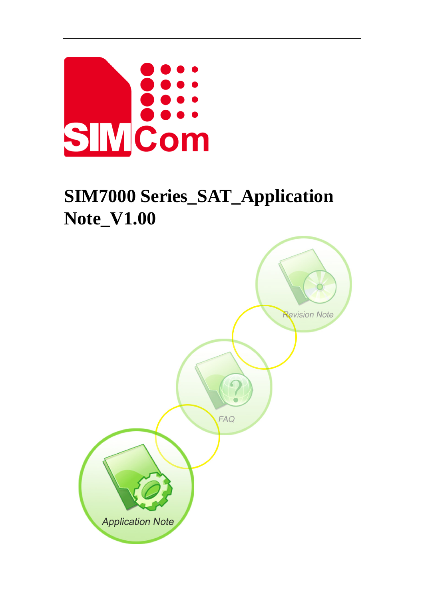

# **SIM7000 Series\_SAT\_Application Note\_V1.00**

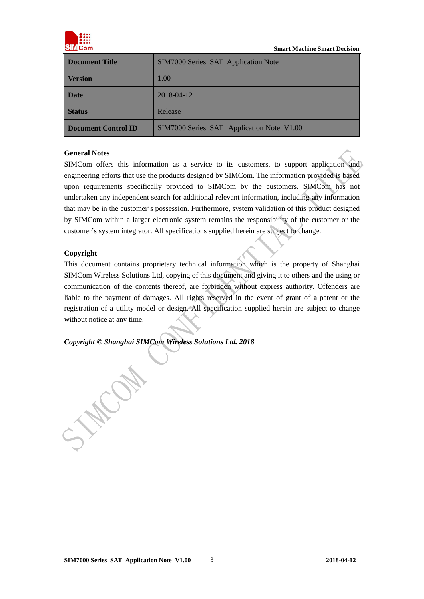

| <b>Document Title</b>      | SIM7000 Series_SAT_Application Note       |
|----------------------------|-------------------------------------------|
| <b>Version</b>             | 1.00                                      |
| Date                       | 2018-04-12                                |
| <b>Status</b>              | Release                                   |
| <b>Document Control ID</b> | SIM7000 Series_SAT_Application Note_V1.00 |

#### **General Notes**

SIMCom offers this information as a service to its customers, to support application and) engineering efforts that use the products designed by SIMCom. The information provided is based upon requirements specifically provided to SIMCom by the customers. SIMCom has not undertaken any independent search for additional relevant information, including any information that may be in the customer's possession. Furthermore, system validation of this product designed by SIMCom within a larger electronic system remains the responsibility of the customer or the customer's system integrator. All specifications supplied herein are subject to change.

#### **Copyright**

This document contains proprietary technical information which is the property of Shanghai SIMCom Wireless Solutions Ltd, copying of this document and giving it to others and the using or communication of the contents thereof, are forbidden without express authority. Offenders are liable to the payment of damages. All rights reserved in the event of grant of a patent or the registration of a utility model or design. All specification supplied herein are subject to change without notice at any time.

*Copyright © Shanghai SIMCom Wireless Solutions Ltd. 2018*

**MARON**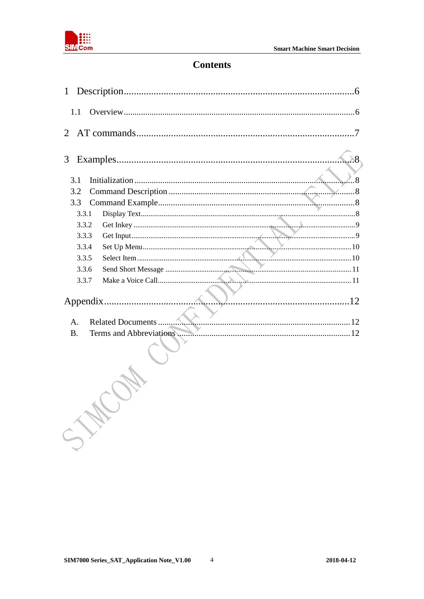

# **Contents**

| 1                                    |
|--------------------------------------|
| 1.1                                  |
| $\mathcal{L}$                        |
| 3                                    |
| 3.1                                  |
| 3.2                                  |
| 3.3                                  |
| 3.3.1                                |
| 3.3.2                                |
| 3.3.3                                |
| 3.3.4                                |
| 3.3.5                                |
| 3.3.6                                |
| 3.3.7                                |
|                                      |
|                                      |
| А.                                   |
| <b>B.</b><br>Terms and Abbreviations |
|                                      |

 $\overline{4}$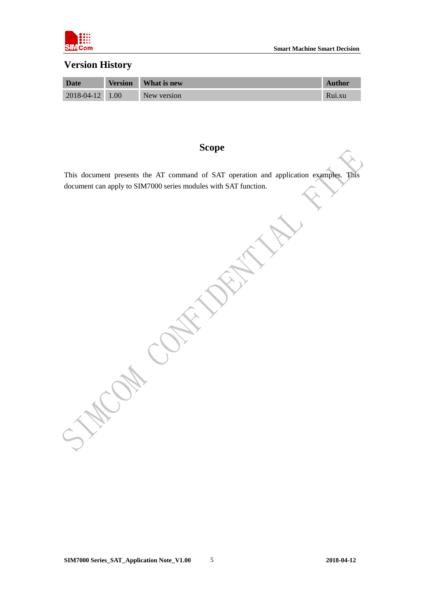

# **Version History**

| Date            | <b>Version</b> | What is new | <b>Author</b> |
|-----------------|----------------|-------------|---------------|
| 2018-04-12 1.00 |                | New version | Rui.xu        |

# **Scope**

This document presents the AT command of SAT operation and application examples. This document can apply to SIM7000 series modules with SAT function.

**WOM CONTROLL**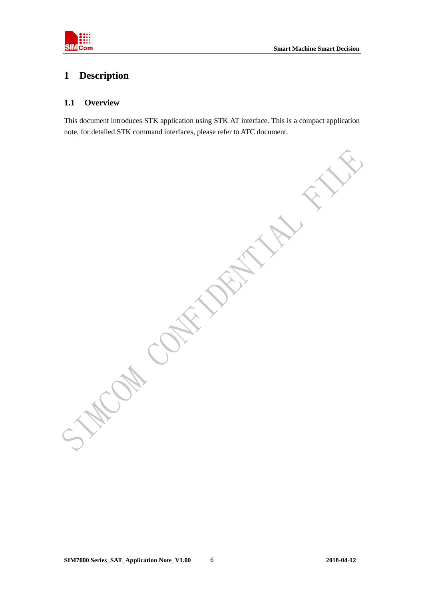

# <span id="page-4-0"></span>**1 Description**

#### <span id="page-4-1"></span>**1.1 Overview**

This document introduces STK application using STK AT interface. This is a compact application note, for detailed STK command interfaces, please refer to ATC document.

OH COH 15.1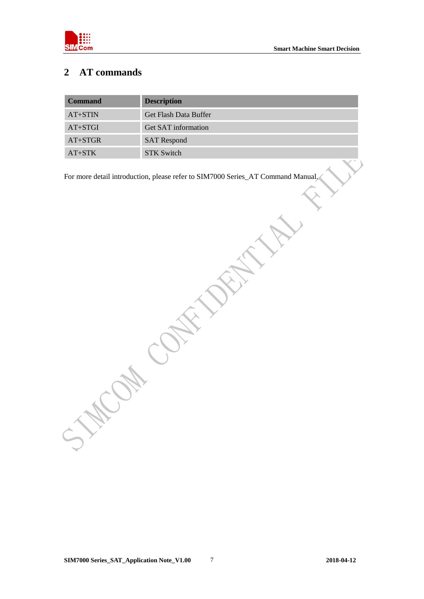

# <span id="page-5-0"></span>**2 AT commands**

| <b>Command</b> | <b>Description</b>         |
|----------------|----------------------------|
| $AT+STIN$      | Get Flash Data Buffer      |
| $AT+STGI$      | <b>Get SAT information</b> |
| $AT+STGR$      | <b>SAT</b> Respond         |
| $AT+STK$       | <b>STK Switch</b>          |

For more detail introduction, please refer to SIM7000 Series\_AT Command Manual.

Com Contribution

**CON**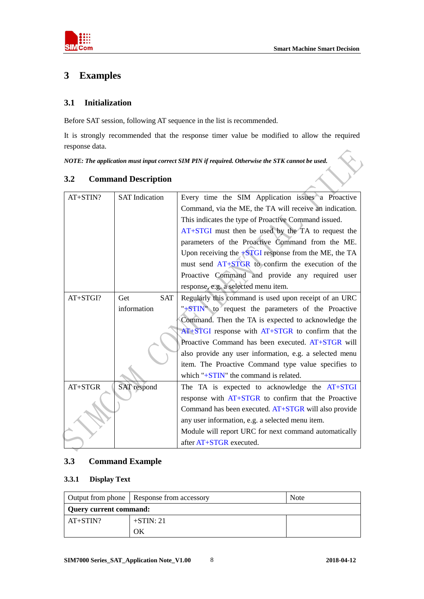

# <span id="page-6-0"></span>**3 Examples**

## <span id="page-6-1"></span>**3.1 Initialization**

Before SAT session, following AT sequence in the list is recommended.

It is strongly recommended that the response timer value be modified to allow the required response data.

*NOTE: The application must input correct SIM PIN if required. Otherwise the STK cannot be used.*

| AT+STIN? | <b>SAT</b> Indication | Every time the SIM Application issues a Proactive       |  |
|----------|-----------------------|---------------------------------------------------------|--|
|          |                       | Command, via the ME, the TA will receive an indication. |  |
|          |                       | This indicates the type of Proactive Command issued.    |  |
|          |                       | AT+STGI must then be used by the TA to request the      |  |
|          |                       | parameters of the Proactive Command from the ME.        |  |
|          |                       | Upon receiving the $+STGI$ response from the ME, the TA |  |
|          |                       | must send AT+STGR to confirm the execution of the       |  |
|          |                       | Proactive Command and provide any required user         |  |
|          |                       | response, e.g. a selected menu item.                    |  |
| AT+STGI? | <b>SAT</b><br>Get     | Regularly this command is used upon receipt of an URC   |  |
|          | information           | "+STIN" to request the parameters of the Proactive      |  |
|          |                       | Command. Then the TA is expected to acknowledge the     |  |
|          |                       | $AT+STGI$ response with $AT+STGR$ to confirm that the   |  |
|          |                       | Proactive Command has been executed. AT+STGR will       |  |
|          |                       | also provide any user information, e.g. a selected menu |  |
|          |                       | item. The Proactive Command type value specifies to     |  |
|          |                       | which " $+STIN$ " the command is related.               |  |
| AT+STGR  | <b>SAT</b> respond    | The TA is expected to acknowledge the $AT+STGI$         |  |
|          |                       | response with AT+STGR to confirm that the Proactive     |  |
|          |                       | Command has been executed. AT+STGR will also provide    |  |
|          |                       | any user information, e.g. a selected menu item.        |  |
|          |                       | Module will report URC for next command automatically   |  |
|          |                       | after AT+STGR executed.                                 |  |

## <span id="page-6-2"></span>**3.2 Command Description**

# <span id="page-6-3"></span>**3.3 Command Example**

#### <span id="page-6-4"></span>**3.3.1 Display Text**

|                        | Output from phone   Response from accessory | <b>Note</b> |
|------------------------|---------------------------------------------|-------------|
| Query current command: |                                             |             |
| $AT+STIN?$             | $+STIN: 21$                                 |             |
|                        | OК                                          |             |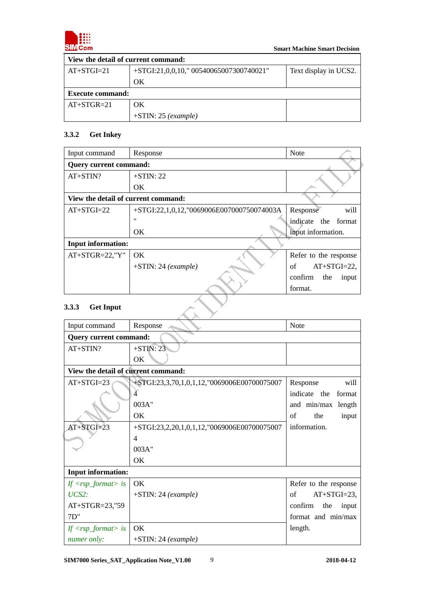

| View the detail of current command: |                                          |                       |  |
|-------------------------------------|------------------------------------------|-----------------------|--|
| $AT+STGI=21$                        | $+STGI:21,0,0,10,"00540065007300740021"$ | Text display in UCS2. |  |
|                                     | OK                                       |                       |  |
| <b>Execute command:</b>             |                                          |                       |  |
| $AT+STGR=21$                        | OK                                       |                       |  |
|                                     | $+STIN: 25$ (example)                    |                       |  |

## <span id="page-7-0"></span>**3.3.2 Get Inkey**

| Input command                       | Response                                     | <b>Note</b>             |
|-------------------------------------|----------------------------------------------|-------------------------|
| <b>Query current command:</b>       |                                              |                         |
| $AT+STIN?$                          | $+STIN: 22$                                  |                         |
|                                     | OK.                                          |                         |
| View the detail of current command: |                                              |                         |
| $AT+STGI=22$                        | $+STGI:22,1,0,12, "0069006E007000750074003A$ | Response<br>will        |
|                                     | $^{\prime\prime}$                            | indicate the format     |
|                                     | OK.                                          | input information.      |
| <b>Input information:</b>           |                                              |                         |
| $AT+STGR=22,"Y"$                    | OK.                                          | Refer to the response   |
|                                     | $+STIN: 24 (example)$                        | $AT+STGI=22$ ,<br>of    |
|                                     |                                              | confirm<br>the<br>input |
|                                     |                                              | format.                 |
| 3.3.3<br><b>Get Input</b>           |                                              |                         |

## <span id="page-7-1"></span>**3.3.3 Get Input**

| Input command                              | Response                                    | <b>Note</b>             |  |  |
|--------------------------------------------|---------------------------------------------|-------------------------|--|--|
|                                            | <b>Query current command:</b>               |                         |  |  |
| $AT+STIN?$                                 | $+STIN: 23$                                 |                         |  |  |
|                                            | OK.                                         |                         |  |  |
| View the detail of current command:        |                                             |                         |  |  |
| $AT+STGI=23$                               | +STGI:23,3,70,1,0,1,12,"0069006E00700075007 | Response<br>will        |  |  |
|                                            | 4                                           | indicate the<br>format  |  |  |
|                                            | 003A"                                       | and min/max length      |  |  |
|                                            | OK                                          | of<br>the<br>input      |  |  |
| $AT+STGI=23$                               | +STGI:23,2,20,1,0,1,12,"0069006E00700075007 | information.            |  |  |
|                                            | 4                                           |                         |  |  |
|                                            | 003A"                                       |                         |  |  |
|                                            | OK.                                         |                         |  |  |
| <b>Input information:</b>                  |                                             |                         |  |  |
| If $\langle$ rsp_format $\rangle$ is       | <b>OK</b>                                   | Refer to the response   |  |  |
| $UCS2$ :                                   | $+STIN: 24 (example)$                       | $AT+STGI=23$ ,<br>of    |  |  |
| AT+STGR=23,"59                             |                                             | confirm<br>the<br>input |  |  |
| 7D"                                        |                                             | format and min/max      |  |  |
| If $\langle \text{rsp\_format} \rangle$ is | OK.                                         | length.                 |  |  |
| numer only:                                | $+STIN: 24 (example)$                       |                         |  |  |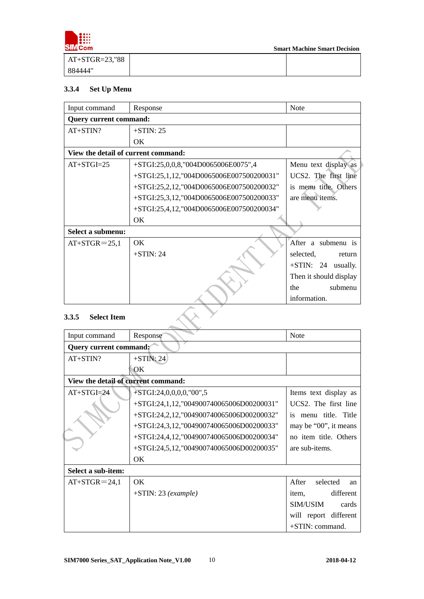

 **Smart Machine Smart Decision** 

| $AT+STGR=23,$ "88 |  |
|-------------------|--|
| 884444"           |  |

## <span id="page-8-0"></span>**3.3.4 Set Up Menu**

| Input command                       | Response                                 | <b>Note</b>             |  |
|-------------------------------------|------------------------------------------|-------------------------|--|
| <b>Query current command:</b>       |                                          |                         |  |
| $AT+STIN?$                          | $+STIN: 25$                              |                         |  |
|                                     | OK.                                      |                         |  |
| View the detail of current command: |                                          |                         |  |
| $AT+STGI=25$                        | $+STGI:25,0,0,8, "004D0065006E0075",4$   | Menu text display as    |  |
|                                     | +STGI:25,1,12,"004D0065006E007500200031" | UCS2. The first line    |  |
|                                     | +STGI:25,2,12,"004D0065006E007500200032" | is menu title. Others   |  |
|                                     | +STGI:25,3,12,"004D0065006E007500200033" | are menu items.         |  |
|                                     | +STGI:25,4,12,"004D0065006E007500200034" |                         |  |
|                                     | OK.                                      |                         |  |
| Select a submenu:                   |                                          |                         |  |
| $AT+STGR = 25,1$                    | OK.                                      | After a submenu is      |  |
|                                     | $+STIN: 24$                              | selected,<br>return     |  |
|                                     |                                          | $+STIN: 24$<br>usually. |  |
|                                     |                                          | Then it should display  |  |
|                                     |                                          | submenu<br>the          |  |
|                                     |                                          | information.            |  |
| <b>Select Item</b><br>3.3.5         |                                          |                         |  |

# <span id="page-8-1"></span>**3.3.5 Select Item**

| Input command                       | Response                                    | <b>Note</b>                       |  |
|-------------------------------------|---------------------------------------------|-----------------------------------|--|
| Query current command?              |                                             |                                   |  |
| $AT+STIN?$                          | $+STIN: 24$                                 |                                   |  |
|                                     | OK                                          |                                   |  |
| View the detail of current command: |                                             |                                   |  |
| $AT+STGI=24$                        | $+STGI:24,0,0,0,0, "00",5$                  | Items text display as             |  |
|                                     | +STGI:24,1,12,"004900740065006D00200031"    | UCS <sub>2</sub> . The first line |  |
|                                     | +STGI:24,2,12,"004900740065006D00200032"    | is menu title. Title              |  |
|                                     | $+STGI:24,3,12, "004900740065006D00200033"$ | may be "00", it means             |  |
|                                     | $+STGI:24,4,12, "004900740065006D00200034"$ | no item title. Others             |  |
|                                     | +STGI:24,5,12,"004900740065006D00200035"    | are sub-items.                    |  |
|                                     | OK.                                         |                                   |  |
| Select a sub-item:                  |                                             |                                   |  |
| $AT+STGR = 24,1$                    | OK.                                         | After<br>selected<br>an           |  |
|                                     | $+STIN: 23 (example)$                       | different<br>item.                |  |
|                                     |                                             | SIM/USIM<br>cards                 |  |
|                                     |                                             | will report different             |  |
|                                     |                                             | +STIN: command.                   |  |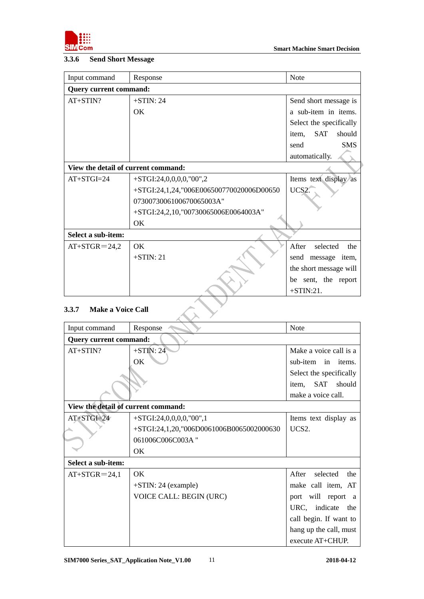

#### <span id="page-9-0"></span>**3.3.6 Send Short Message**

| Input command                       | Response                                 | <b>Note</b>                   |  |  |  |  |
|-------------------------------------|------------------------------------------|-------------------------------|--|--|--|--|
| <b>Query current command:</b>       |                                          |                               |  |  |  |  |
| $AT+STIN?$                          | $+STIN: 24$                              | Send short message is         |  |  |  |  |
|                                     | OK.                                      | a sub-item in items.          |  |  |  |  |
|                                     |                                          | Select the specifically       |  |  |  |  |
|                                     |                                          | <b>SAT</b><br>should<br>item. |  |  |  |  |
|                                     |                                          | <b>SMS</b><br>send            |  |  |  |  |
|                                     |                                          | automatically.                |  |  |  |  |
| View the detail of current command: |                                          |                               |  |  |  |  |
| $AT+STGI=24$                        | $+STGI:24,0,0,0,0, "00",2$               | Items text display as         |  |  |  |  |
|                                     | +STGI:24,1,24,"006E006500770020006D00650 | UCS2.                         |  |  |  |  |
|                                     | 0730073006100670065003A"                 |                               |  |  |  |  |
|                                     | +STGI:24,2,10,"00730065006E0064003A"     |                               |  |  |  |  |
|                                     | OK                                       |                               |  |  |  |  |
| Select a sub-item:                  |                                          |                               |  |  |  |  |
| $AT+STGR = 24.2$                    | OK.                                      | After<br>selected<br>the      |  |  |  |  |
|                                     | $+STIN: 21$                              | send message item,            |  |  |  |  |
|                                     |                                          | the short message will        |  |  |  |  |
|                                     |                                          | be sent, the report           |  |  |  |  |
|                                     | $+STIN:21.$                              |                               |  |  |  |  |

# <span id="page-9-1"></span>**3.3.7 Make a Voice Call**

| Input command                       | Response                                 | <b>Note</b>              |  |  |  |  |
|-------------------------------------|------------------------------------------|--------------------------|--|--|--|--|
| <b>Query current command:</b>       |                                          |                          |  |  |  |  |
| $AT+STIN?$                          | $+STIN: 24$                              | Make a voice call is a   |  |  |  |  |
|                                     | OK                                       | sub-item in<br>items.    |  |  |  |  |
|                                     |                                          | Select the specifically  |  |  |  |  |
|                                     |                                          | SAT<br>should<br>item,   |  |  |  |  |
|                                     |                                          | make a voice call.       |  |  |  |  |
| View the detail of current command: |                                          |                          |  |  |  |  |
| $AT+STGI=24$                        | $+STGI:24,0,0,0,0, "00",1$               | Items text display as    |  |  |  |  |
|                                     | +STGI:24,1,20,"006D0061006B0065002000630 | UCS2.                    |  |  |  |  |
|                                     | 061006C006C003A"                         |                          |  |  |  |  |
|                                     | OK.                                      |                          |  |  |  |  |
| Select a sub-item:                  |                                          |                          |  |  |  |  |
| $AT+STGR = 24,1$                    | OK.                                      | After<br>selected<br>the |  |  |  |  |
|                                     | $+STIN: 24$ (example)                    | make call item, AT       |  |  |  |  |
|                                     | <b>VOICE CALL: BEGIN (URC)</b>           | port will report a       |  |  |  |  |
|                                     |                                          | URC, indicate<br>the     |  |  |  |  |
|                                     |                                          | call begin. If want to   |  |  |  |  |
|                                     |                                          | hang up the call, must   |  |  |  |  |
|                                     |                                          | execute $AT+CHUP$ .      |  |  |  |  |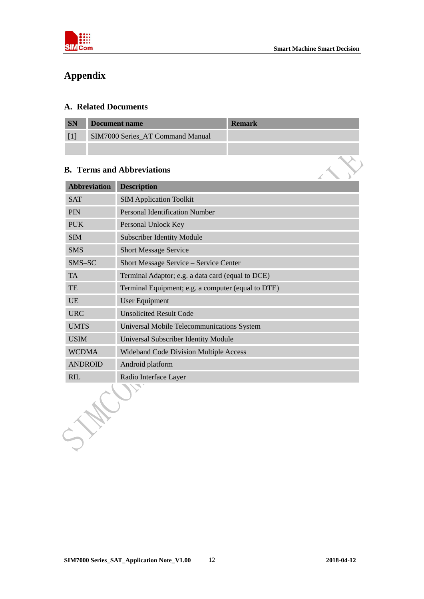

 $\mathbf{X}$ 

# <span id="page-10-0"></span>**Appendix**

## <span id="page-10-1"></span>**A. Related Documents**

| <b>SN</b> | Document name                    | <b>Remark</b> |
|-----------|----------------------------------|---------------|
|           | SIM7000 Series_AT Command Manual |               |
|           |                                  |               |

## <span id="page-10-2"></span>**B. Terms and Abbreviations**

| <b>Abbreviation</b> | <b>Description</b>                                 |  |  |
|---------------------|----------------------------------------------------|--|--|
| <b>SAT</b>          | <b>SIM Application Toolkit</b>                     |  |  |
| PIN                 | <b>Personal Identification Number</b>              |  |  |
| <b>PUK</b>          | Personal Unlock Key                                |  |  |
| <b>SIM</b>          | <b>Subscriber Identity Module</b>                  |  |  |
| <b>SMS</b>          | <b>Short Message Service</b>                       |  |  |
| SMS-SC              | Short Message Service - Service Center             |  |  |
| <b>TA</b>           | Terminal Adaptor; e.g. a data card (equal to DCE)  |  |  |
| TE                  | Terminal Equipment; e.g. a computer (equal to DTE) |  |  |
| <b>UE</b>           | <b>User Equipment</b>                              |  |  |
| <b>URC</b>          | <b>Unsolicited Result Code</b>                     |  |  |
| <b>UMTS</b>         | Universal Mobile Telecommunications System         |  |  |
| <b>USIM</b>         | Universal Subscriber Identity Module               |  |  |
| <b>WCDMA</b>        | <b>Wideband Code Division Multiple Access</b>      |  |  |
| <b>ANDROID</b>      | Android platform                                   |  |  |
| <b>RIL</b>          | Radio Interface Layer                              |  |  |
| $\sum_{i=1}^n$      |                                                    |  |  |